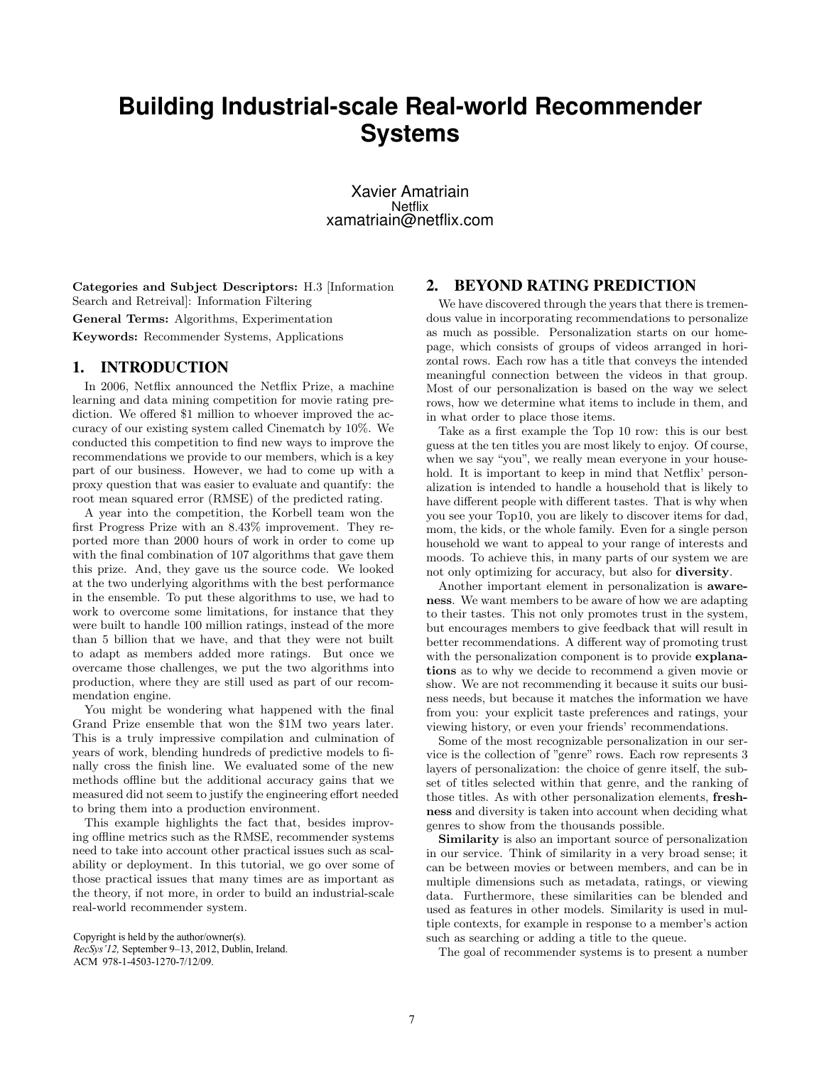# **Building Industrial-scale Real-world Recommender Systems**

Xavier Amatriain **Netflix** xamatriain@netflix.com

Categories and Subject Descriptors: H.3 [Information Search and Retreival]: Information Filtering

General Terms: Algorithms, Experimentation

Keywords: Recommender Systems, Applications

### 1. INTRODUCTION

In 2006, Netflix announced the Netflix Prize, a machine learning and data mining competition for movie rating prediction. We offered \$1 million to whoever improved the accuracy of our existing system called Cinematch by 10%. We conducted this competition to find new ways to improve the recommendations we provide to our members, which is a key part of our business. However, we had to come up with a proxy question that was easier to evaluate and quantify: the root mean squared error (RMSE) of the predicted rating.

A year into the competition, the Korbell team won the first Progress Prize with an 8.43% improvement. They reported more than 2000 hours of work in order to come up with the final combination of 107 algorithms that gave them this prize. And, they gave us the source code. We looked at the two underlying algorithms with the best performance in the ensemble. To put these algorithms to use, we had to work to overcome some limitations, for instance that they were built to handle 100 million ratings, instead of the more than 5 billion that we have, and that they were not built to adapt as members added more ratings. But once we overcame those challenges, we put the two algorithms into production, where they are still used as part of our recommendation engine.

You might be wondering what happened with the final Grand Prize ensemble that won the \$1M two years later. This is a truly impressive compilation and culmination of years of work, blending hundreds of predictive models to finally cross the finish line. We evaluated some of the new methods offline but the additional accuracy gains that we measured did not seem to justify the engineering effort needed to bring them into a production environment.

This example highlights the fact that, besides improving offline metrics such as the RMSE, recommender systems need to take into account other practical issues such as scalability or deployment. In this tutorial, we go over some of those practical issues that many times are as important as the theory, if not more, in order to build an industrial-scale real-world recommender system.

Copyright is held by the author/owner(s).

*RecSys'12,* September 9–13, 2012, Dublin, Ireland. ACM 978-1-4503-1270-7/12/09.

#### 2. BEYOND RATING PREDICTION

We have discovered through the years that there is tremendous value in incorporating recommendations to personalize as much as possible. Personalization starts on our homepage, which consists of groups of videos arranged in horizontal rows. Each row has a title that conveys the intended meaningful connection between the videos in that group. Most of our personalization is based on the way we select rows, how we determine what items to include in them, and in what order to place those items.

Take as a first example the Top 10 row: this is our best guess at the ten titles you are most likely to enjoy. Of course, when we say "you", we really mean everyone in your household. It is important to keep in mind that Netflix' personalization is intended to handle a household that is likely to have different people with different tastes. That is why when you see your Top10, you are likely to discover items for dad, mom, the kids, or the whole family. Even for a single person household we want to appeal to your range of interests and moods. To achieve this, in many parts of our system we are not only optimizing for accuracy, but also for diversity.

Another important element in personalization is awareness. We want members to be aware of how we are adapting to their tastes. This not only promotes trust in the system, but encourages members to give feedback that will result in better recommendations. A different way of promoting trust with the personalization component is to provide **explana**tions as to why we decide to recommend a given movie or show. We are not recommending it because it suits our business needs, but because it matches the information we have from you: your explicit taste preferences and ratings, your viewing history, or even your friends' recommendations.

Some of the most recognizable personalization in our service is the collection of "genre" rows. Each row represents 3 layers of personalization: the choice of genre itself, the subset of titles selected within that genre, and the ranking of those titles. As with other personalization elements, freshness and diversity is taken into account when deciding what genres to show from the thousands possible.

Similarity is also an important source of personalization in our service. Think of similarity in a very broad sense; it can be between movies or between members, and can be in multiple dimensions such as metadata, ratings, or viewing data. Furthermore, these similarities can be blended and used as features in other models. Similarity is used in multiple contexts, for example in response to a member's action such as searching or adding a title to the queue.

The goal of recommender systems is to present a number